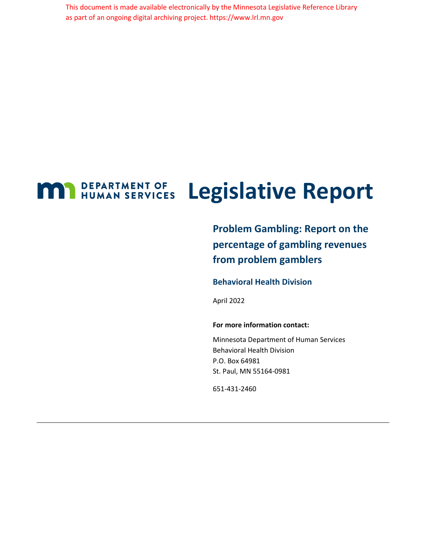This document is made available electronically by the Minnesota Legislative Reference Library as part of an ongoing digital archiving project. https://www.lrl.mn.gov

### **MAN** DEPARTMENT OF HUMAN SERVICES **Legislative Report**

**Problem Gambling: Report on the percentage of gambling revenues from problem gamblers**

#### **Behavioral Health Division**

April 2022

#### **For more information contact:**

Minnesota Department of Human Services Behavioral Health Division P.O. Box 64981 St. Paul, MN 55164-0981

651-431-2460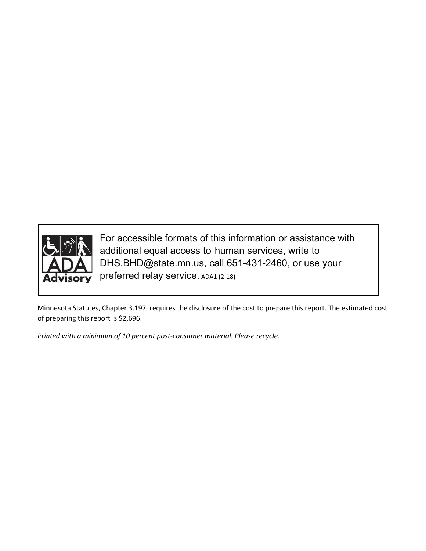

For accessible formats of this information or assistance with additional equal access to human services, write to DHS.BHD@state.mn.us, call 651-431-2460, or use your preferred relay service. ADA1 (2-18)

Minnesota Statutes, Chapter 3.197, requires the disclosure of the cost to prepare this report. The estimated cost of preparing this report is \$2,696.

*Printed with a minimum of 10 percent post-consumer material. Please recycle.*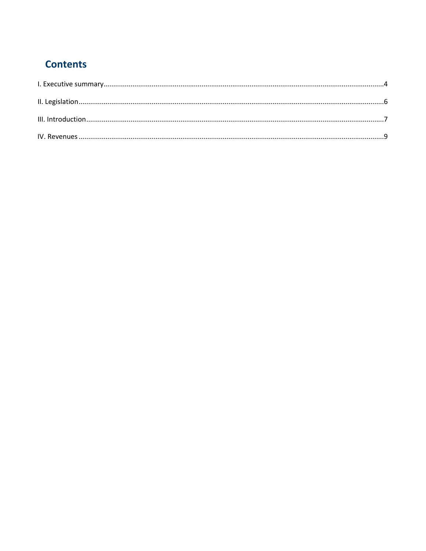# **Contents**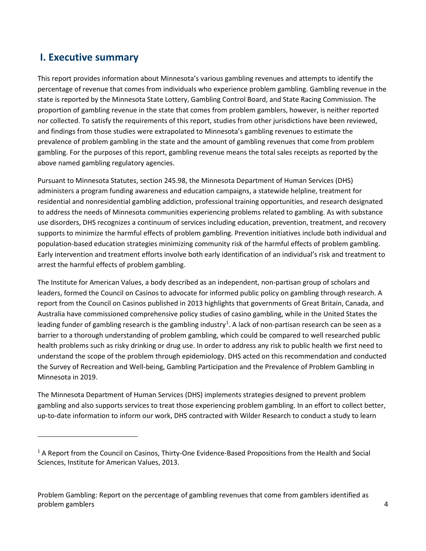### <span id="page-3-0"></span>**I. Executive summary**

 $\overline{\phantom{a}}$ 

This report provides information about Minnesota's various gambling revenues and attempts to identify the percentage of revenue that comes from individuals who experience problem gambling. Gambling revenue in the state is reported by the Minnesota State Lottery, Gambling Control Board, and State Racing Commission. The proportion of gambling revenue in the state that comes from problem gamblers, however, is neither reported nor collected. To satisfy the requirements of this report, studies from other jurisdictions have been reviewed, and findings from those studies were extrapolated to Minnesota's gambling revenues to estimate the prevalence of problem gambling in the state and the amount of gambling revenues that come from problem gambling. For the purposes of this report, gambling revenue means the total sales receipts as reported by the above named gambling regulatory agencies.

Pursuant to Minnesota Statutes, section 245.98, the Minnesota Department of Human Services (DHS) administers a program funding awareness and education campaigns, a statewide helpline, treatment for residential and nonresidential gambling addiction, professional training opportunities, and research designated to address the needs of Minnesota communities experiencing problems related to gambling. As with substance use disorders, DHS recognizes a continuum of services including education, prevention, treatment, and recovery supports to minimize the harmful effects of problem gambling. Prevention initiatives include both individual and population-based education strategies minimizing community risk of the harmful effects of problem gambling. Early intervention and treatment efforts involve both early identification of an individual's risk and treatment to arrest the harmful effects of problem gambling.

The Institute for American Values, a body described as an independent, non-partisan group of scholars and leaders, formed the Council on Casinos to advocate for informed public policy on gambling through research. A report from the Council on Casinos published in 2013 highlights that governments of Great Britain, Canada, and Australia have commissioned comprehensive policy studies of casino gambling, while in the United States the leading funder of gambling research is the gambling industry<sup>[1](#page-3-1)</sup>. A lack of non-partisan research can be seen as a barrier to a thorough understanding of problem gambling, which could be compared to well researched public health problems such as risky drinking or drug use. In order to address any risk to public health we first need to understand the scope of the problem through epidemiology. DHS acted on this recommendation and conducted the Survey of Recreation and Well-being, Gambling Participation and the Prevalence of Problem Gambling in Minnesota in 2019.

The Minnesota Department of Human Services (DHS) implements strategies designed to prevent problem gambling and also supports services to treat those experiencing problem gambling. In an effort to collect better, up-to-date information to inform our work, DHS contracted with Wilder Research to conduct a study to learn

Problem Gambling: Report on the percentage of gambling revenues that come from gamblers identified as problem gamblers 4

<span id="page-3-1"></span> $1$  A Report from the Council on Casinos, Thirty-One Evidence-Based Propositions from the Health and Social Sciences, Institute for American Values, 2013.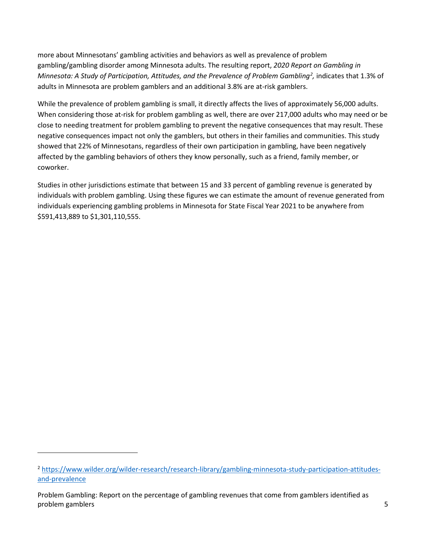more about Minnesotans' gambling activities and behaviors as well as prevalence of problem gambling/gambling disorder among Minnesota adults. The resulting report, *2020 Report on Gambling in Minnesota: A Study of Participation, Attitudes, and the Prevalence of Problem Gambling[2](#page-4-0) ,* indicates that 1.3% of adults in Minnesota are problem gamblers and an additional 3.8% are at-risk gamblers.

While the prevalence of problem gambling is small, it directly affects the lives of approximately 56,000 adults. When considering those at-risk for problem gambling as well, there are over 217,000 adults who may need or be close to needing treatment for problem gambling to prevent the negative consequences that may result. These negative consequences impact not only the gamblers, but others in their families and communities. This study showed that 22% of Minnesotans, regardless of their own participation in gambling, have been negatively affected by the gambling behaviors of others they know personally, such as a friend, family member, or coworker.

Studies in other jurisdictions estimate that between 15 and 33 percent of gambling revenue is generated by individuals with problem gambling. Using these figures we can estimate the amount of revenue generated from individuals experiencing gambling problems in Minnesota for State Fiscal Year 2021 to be anywhere from \$591,413,889 to \$1,301,110,555.

 $\overline{a}$ 

<span id="page-4-0"></span><sup>2</sup> [https://www.wilder.org/wilder-research/research-library/gambling-minnesota-study-participation-attitudes](https://www.wilder.org/wilder-research/research-library/gambling-minnesota-study-participation-attitudes-and-prevalence)[and-prevalence](https://www.wilder.org/wilder-research/research-library/gambling-minnesota-study-participation-attitudes-and-prevalence) 

Problem Gambling: Report on the percentage of gambling revenues that come from gamblers identified as problem gamblers **5**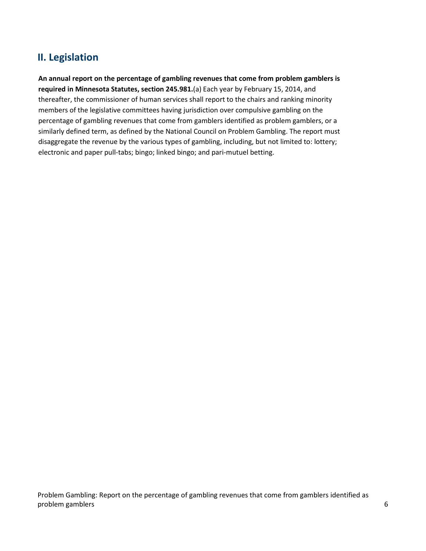# <span id="page-5-0"></span>**II. Legislation**

**An annual report on the percentage of gambling revenues that come from problem gamblers is required in Minnesota Statutes, section 245.981.**(a) Each year by February 15, 2014, and thereafter, the commissioner of human services shall report to the chairs and ranking minority members of the legislative committees having jurisdiction over compulsive gambling on the percentage of gambling revenues that come from gamblers identified as problem gamblers, or a similarly defined term, as defined by the National Council on Problem Gambling. The report must disaggregate the revenue by the various types of gambling, including, but not limited to: lottery; electronic and paper pull-tabs; bingo; linked bingo; and pari-mutuel betting.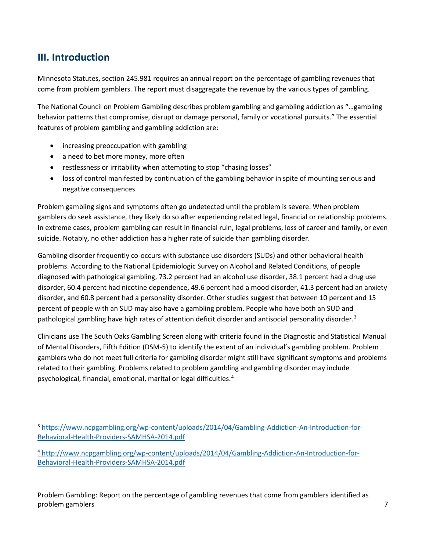# <span id="page-6-0"></span>**III. Introduction**

l

Minnesota Statutes, section 245.981 requires an annual report on the percentage of gambling revenues that come from problem gamblers. The report must disaggregate the revenue by the various types of gambling.

The National Council on Problem Gambling describes problem gambling and gambling addiction as "…gambling behavior patterns that compromise, disrupt or damage personal, family or vocational pursuits." The essential features of problem gambling and gambling addiction are:

- increasing preoccupation with gambling
- a need to bet more money, more often
- restlessness or irritability when attempting to stop "chasing losses"
- loss of control manifested by continuation of the gambling behavior in spite of mounting serious and negative consequences

Problem gambling signs and symptoms often go undetected until the problem is severe. When problem gamblers do seek assistance, they likely do so after experiencing related legal, financial or relationship problems. In extreme cases, problem gambling can result in financial ruin, legal problems, loss of career and family, or even suicide. Notably, no other addiction has a higher rate of suicide than gambling disorder.

Gambling disorder frequently co-occurs with substance use disorders (SUDs) and other behavioral health problems. According to the National Epidemiologic Survey on Alcohol and Related Conditions, of people diagnosed with pathological gambling, 73.2 percent had an alcohol use disorder, 38.1 percent had a drug use disorder, 60.4 percent had nicotine dependence, 49.6 percent had a mood disorder, 41.3 percent had an anxiety disorder, and 60.8 percent had a personality disorder. Other studies suggest that between 10 percent and 15 percent of people with an SUD may also have a gambling problem. People who have both an SUD and pathological gambling have high rates of attention deficit disorder and antisocial personality disorder.<sup>[3](#page-6-1)</sup>

Clinicians use The South Oaks Gambling Screen along with criteria found in the Diagnostic and Statistical Manual of Mental Disorders, Fifth Edition (DSM-5) to identify the extent of an individual's gambling problem. Problem gamblers who do not meet full criteria for gambling disorder might still have significant symptoms and problems related to their gambling. Problems related to problem gambling and gambling disorder may include psychological, financial, emotional, marital or legal difficulties.<sup>[4](#page-6-2)</sup>

Problem Gambling: Report on the percentage of gambling revenues that come from gamblers identified as problem gamblers **7** 

<span id="page-6-1"></span><sup>3</sup> [https://www.ncpgambling.org/wp-content/uploads/2014/04/Gambling-Addiction-An-Introduction-for-](https://www.ncpgambling.org/wp-content/uploads/2014/04/Gambling-Addiction-An-Introduction-for-Behavioral-Health-Providers-SAMHSA-2014.pdf)[Behavioral-Health-Providers-SAMHSA-2014.pdf](https://www.ncpgambling.org/wp-content/uploads/2014/04/Gambling-Addiction-An-Introduction-for-Behavioral-Health-Providers-SAMHSA-2014.pdf) 

<span id="page-6-2"></span><sup>4</sup> [http://www.ncpgambling.org/wp-content/uploads/2014/04/Gambling-Addiction-An-Introduction-for-](https://www.ncpgambling.org/wp-content/uploads/2014/04/Gambling-Addiction-An-Introduction-for-Behavioral-Health-Providers-SAMHSA-2014.pdf)[Behavioral-Health-Providers-SAMHSA-2014.pdf](https://www.ncpgambling.org/wp-content/uploads/2014/04/Gambling-Addiction-An-Introduction-for-Behavioral-Health-Providers-SAMHSA-2014.pdf)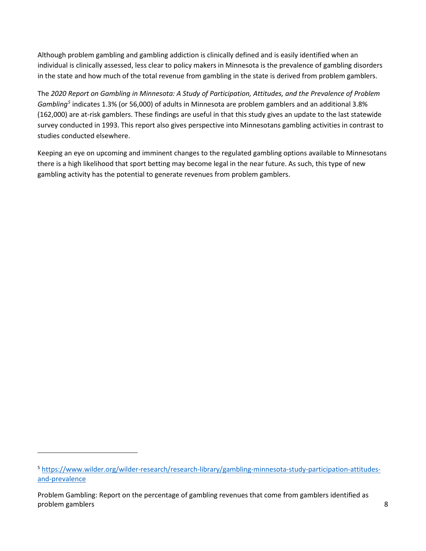Although problem gambling and gambling addiction is clinically defined and is easily identified when an individual is clinically assessed, less clear to policy makers in Minnesota is the prevalence of gambling disorders in the state and how much of the total revenue from gambling in the state is derived from problem gamblers.

The *2020 Report on Gambling in Minnesota: A Study of Participation, Attitudes, and the Prevalence of Problem Gambling[5](#page-7-0)* indicates 1.3% (or 56,000) of adults in Minnesota are problem gamblers and an additional 3.8% (162,000) are at-risk gamblers. These findings are useful in that this study gives an update to the last statewide survey conducted in 1993. This report also gives perspective into Minnesotans gambling activities in contrast to studies conducted elsewhere.

Keeping an eye on upcoming and imminent changes to the regulated gambling options available to Minnesotans there is a high likelihood that sport betting may become legal in the near future. As such, this type of new gambling activity has the potential to generate revenues from problem gamblers.

 $\overline{a}$ 

<span id="page-7-0"></span><sup>5</sup> [https://www.wilder.org/wilder-research/research-library/gambling-minnesota-study-participation-attitudes](https://www.wilder.org/wilder-research/research-library/gambling-minnesota-study-participation-attitudes-and-prevalence)[and-prevalence](https://www.wilder.org/wilder-research/research-library/gambling-minnesota-study-participation-attitudes-and-prevalence) 

Problem Gambling: Report on the percentage of gambling revenues that come from gamblers identified as problem gamblers 8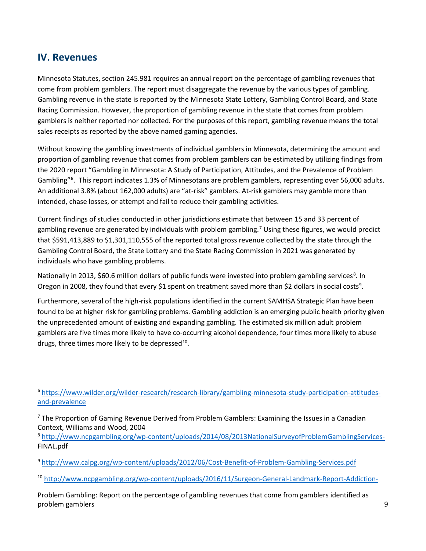### <span id="page-8-0"></span>**IV. Revenues**

l

Minnesota Statutes, section 245.981 requires an annual report on the percentage of gambling revenues that come from problem gamblers. The report must disaggregate the revenue by the various types of gambling. Gambling revenue in the state is reported by the Minnesota State Lottery, Gambling Control Board, and State Racing Commission. However, the proportion of gambling revenue in the state that comes from problem gamblers is neither reported nor collected. For the purposes of this report, gambling revenue means the total sales receipts as reported by the above named gaming agencies.

Without knowing the gambling investments of individual gamblers in Minnesota, determining the amount and proportion of gambling revenue that comes from problem gamblers can be estimated by utilizing findings from the 2020 report "Gambling in Minnesota: A Study of Participation, Attitudes, and the Prevalence of Problem Gambling"<sup>[6](#page-8-1)</sup>. This report indicates 1.3% of Minnesotans are problem gamblers, representing over 56,000 adults. An additional 3.8% (about 162,000 adults) are "at-risk" gamblers. At-risk gamblers may gamble more than intended, chase losses, or attempt and fail to reduce their gambling activities.

Current findings of studies conducted in other jurisdictions estimate that between 15 and 33 percent of gambling revenue are generated by individuals with problem gambling.<sup>[7](#page-8-2)</sup> Using these figures, we would predict that \$591,413,889 to \$1,301,110,555 of the reported total gross revenue collected by the state through the Gambling Control Board, the State Lottery and the State Racing Commission in 2021 was generated by individuals who have gambling problems.

Nationally in 2013, \$60.6 million dollars of public funds were invested into problem gambling services<sup>[8](#page-8-3)</sup>. In Oregon in 2008, they found that every \$1 spent on treatment saved more than \$2 dollars in social costs<sup>9</sup>.

Furthermore, several of the high-risk populations identified in the current SAMHSA Strategic Plan have been found to be at higher risk for gambling problems. Gambling addiction is an emerging public health priority given the unprecedented amount of existing and expanding gambling. The estimated six million adult problem gamblers are five times more likely to have co-occurring alcohol dependence, four times more likely to abuse drugs, three times more likely to be depressed $^{10}$  $^{10}$  $^{10}$ .

<span id="page-8-5"></span><sup>10</sup> <http://www.ncpgambling.org/wp-content/uploads/2016/11/Surgeon-General-Landmark-Report-Addiction->

Problem Gambling: Report on the percentage of gambling revenues that come from gamblers identified as problem gamblers 9

<span id="page-8-1"></span><sup>6</sup> [https://www.wilder.org/wilder-research/research-library/gambling-minnesota-study-participation-attitudes](https://www.wilder.org/wilder-research/research-library/gambling-minnesota-study-participation-attitudes-and-prevalence)[and-prevalence](https://www.wilder.org/wilder-research/research-library/gambling-minnesota-study-participation-attitudes-and-prevalence) 

<span id="page-8-2"></span> $7$  The Proportion of Gaming Revenue Derived from Problem Gamblers: Examining the Issues in a Canadian Context, Williams and Wood, 2004

<span id="page-8-3"></span><sup>8</sup> <http://www.ncpgambling.org/wp-content/uploads/2014/08/2013NationalSurveyofProblemGamblingServices->FINAL.pdf

<span id="page-8-4"></span><sup>9</sup> <http://www.calpg.org/wp-content/uploads/2012/06/Cost-Benefit-of-Problem-Gambling-Services.pdf>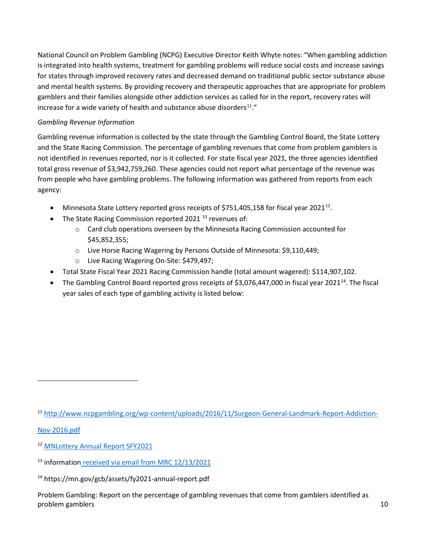National Council on Problem Gambling (NCPG) Executive Director Keith Whyte notes: "When gambling addiction is integrated into health systems, treatment for gambling problems will reduce social costs and increase savings for states through improved recovery rates and decreased demand on traditional public sector substance abuse and mental health systems. By providing recovery and therapeutic approaches that are appropriate for problem gamblers and their families alongside other addiction services as called for in the report, recovery rates will increase for a wide variety of health and substance abuse disorders $11.$  $11.$ "

#### *Gambling Revenue Information*

Gambling revenue information is collected by the state through the Gambling Control Board, the State Lottery and the State Racing Commission. The percentage of gambling revenues that come from problem gamblers is not identified in revenues reported, nor is it collected. For state fiscal year 2021, the three agencies identified total gross revenue of \$3,942,759,260. These agencies could not report what percentage of the revenue was from people who have gambling problems. The following information was gathered from reports from each agency:

- Minnesota State Lottery reported gross receipts of \$751,405,158 for fiscal year 2021<sup>12</sup>.
- The State Racing Commission reported 2021  $^{13}$  $^{13}$  $^{13}$  revenues of:
	- o Card club operations overseen by the Minnesota Racing Commission accounted for \$45,852,355;
	- o Live Horse Racing Wagering by Persons Outside of Minnesota: \$9,110,449;
	- o Live Racing Wagering On-Site: \$479,497;
- Total State Fiscal Year 2021 Racing Commission handle (total amount wagered): \$114,907,102.
- The Gambling Control Board reported gross receipts of \$3,076,447,000 in fiscal year 2021<sup>[14](#page-9-3)</sup>. The fiscal year sales of each type of gambling activity is listed below:

#### [Nov-2016.pdf](http://www.ncpgambling.org/wp-content/uploads/2016/11/Surgeon-General-Landmark-Report-Addiction-Nov-2016.pdf)

 $\overline{\phantom{a}}$ 

<span id="page-9-0"></span><sup>11</sup> [http://www.ncpgambling.org/wp-content/uploads/2016/11/Surgeon-General-Landmark-Report-Addiction-](http://www.ncpgambling.org/wp-content/uploads/2016/11/Surgeon-General-Landmark-Report-Addiction-Nov-2016.pdf)

<span id="page-9-1"></span><sup>12</sup> [MNLottery Annual Report SFY2021](https://s3-us-gov-west-1.amazonaws.com/mnlottery.cms.assets/Annual-Report/FY21-Annual-Report.pdf?mtime=20211103141831&focal=none)

<span id="page-9-2"></span><sup>&</sup>lt;sup>13</sup> information received via email from MRC 12/13/2021

<span id="page-9-3"></span><sup>14</sup> https://mn.gov/gcb/assets/fy2021-annual-report.pdf

Problem Gambling: Report on the percentage of gambling revenues that come from gamblers identified as problem gamblers 10